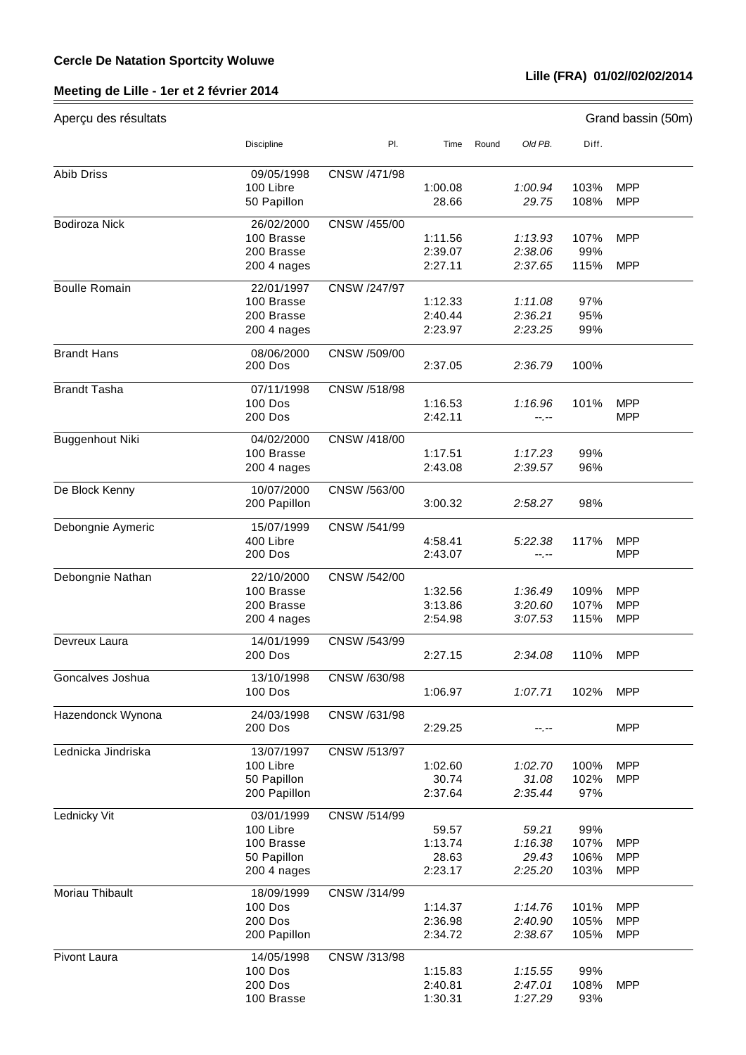## **Meeting de Lille - 1er et 2 février 2014**

## **Lille (FRA) 01/02//02/02/2014**

| Aperçu des résultats |                                                                     |              |                                      |       |                                      |                             | Grand bassin (50m)                     |
|----------------------|---------------------------------------------------------------------|--------------|--------------------------------------|-------|--------------------------------------|-----------------------------|----------------------------------------|
|                      | Discipline                                                          | PI.          | Time                                 | Round | Old PB.                              | Diff.                       |                                        |
| <b>Abib Driss</b>    | 09/05/1998<br>100 Libre<br>50 Papillon                              | CNSW /471/98 | 1:00.08<br>28.66                     |       | 1:00.94<br>29.75                     | 103%<br>108%                | <b>MPP</b><br><b>MPP</b>               |
| Bodiroza Nick        | 26/02/2000                                                          | CNSW /455/00 |                                      |       |                                      |                             |                                        |
|                      | 100 Brasse<br>200 Brasse<br>200 4 nages                             |              | 1:11.56<br>2:39.07<br>2:27.11        |       | 1:13.93<br>2:38.06<br>2:37.65        | 107%<br>99%<br>115%         | <b>MPP</b><br><b>MPP</b>               |
| <b>Boulle Romain</b> | 22/01/1997<br>100 Brasse<br>200 Brasse<br>200 4 nages               | CNSW /247/97 | 1:12.33<br>2:40.44<br>2:23.97        |       | 1:11.08<br>2:36.21<br>2:23.25        | 97%<br>95%<br>99%           |                                        |
| <b>Brandt Hans</b>   | 08/06/2000<br><b>200 Dos</b>                                        | CNSW /509/00 | 2:37.05                              |       | 2:36.79                              | 100%                        |                                        |
| <b>Brandt Tasha</b>  | 07/11/1998<br><b>100 Dos</b><br>200 Dos                             | CNSW /518/98 | 1:16.53<br>2:42.11                   |       | 1:16.96<br>--.--                     | 101%                        | <b>MPP</b><br><b>MPP</b>               |
| Buggenhout Niki      | 04/02/2000<br>100 Brasse<br>200 4 nages                             | CNSW /418/00 | 1:17.51<br>2:43.08                   |       | 1:17.23<br>2:39.57                   | 99%<br>96%                  |                                        |
| De Block Kenny       | 10/07/2000<br>200 Papillon                                          | CNSW /563/00 | 3:00.32                              |       | 2:58.27                              | 98%                         |                                        |
| Debongnie Aymeric    | 15/07/1999<br>400 Libre<br>200 Dos                                  | CNSW /541/99 | 4:58.41<br>2:43.07                   |       | 5:22.38<br>--.--                     | 117%                        | <b>MPP</b><br><b>MPP</b>               |
| Debongnie Nathan     | 22/10/2000<br>100 Brasse<br>200 Brasse<br>200 4 nages               | CNSW /542/00 | 1:32.56<br>3:13.86<br>2:54.98        |       | 1:36.49<br>3:20.60<br>3:07.53        | 109%<br>107%<br>115%        | <b>MPP</b><br><b>MPP</b><br><b>MPP</b> |
| Devreux Laura        | 14/01/1999<br>200 Dos                                               | CNSW /543/99 | 2:27.15                              |       | 2:34.08                              | 110%                        | <b>MPP</b>                             |
| Goncalves Joshua     | 13/10/1998<br>100 Dos                                               | CNSW /630/98 | 1:06.97                              |       | 1:07.71                              | 102%                        | <b>MPP</b>                             |
| Hazendonck Wynona    | 24/03/1998<br>200 Dos                                               | CNSW /631/98 | 2:29.25                              |       | --.--                                |                             | <b>MPP</b>                             |
| Lednicka Jindriska   | 13/07/1997<br>100 Libre<br>50 Papillon<br>200 Papillon              | CNSW /513/97 | 1:02.60<br>30.74<br>2:37.64          |       | 1:02.70<br>31.08<br>2:35.44          | 100%<br>102%<br>97%         | <b>MPP</b><br><b>MPP</b>               |
| Lednicky Vit         | 03/01/1999<br>100 Libre<br>100 Brasse<br>50 Papillon<br>200 4 nages | CNSW /514/99 | 59.57<br>1:13.74<br>28.63<br>2:23.17 |       | 59.21<br>1:16.38<br>29.43<br>2:25.20 | 99%<br>107%<br>106%<br>103% | <b>MPP</b><br><b>MPP</b><br><b>MPP</b> |
| Moriau Thibault      | 18/09/1999<br><b>100 Dos</b><br>200 Dos<br>200 Papillon             | CNSW /314/99 | 1:14.37<br>2:36.98<br>2:34.72        |       | 1:14.76<br>2:40.90<br>2:38.67        | 101%<br>105%<br>105%        | <b>MPP</b><br><b>MPP</b><br><b>MPP</b> |
| <b>Pivont Laura</b>  | 14/05/1998<br><b>100 Dos</b><br>200 Dos<br>100 Brasse               | CNSW /313/98 | 1:15.83<br>2:40.81<br>1:30.31        |       | 1:15.55<br>2:47.01<br>1:27.29        | 99%<br>108%<br>93%          | <b>MPP</b>                             |